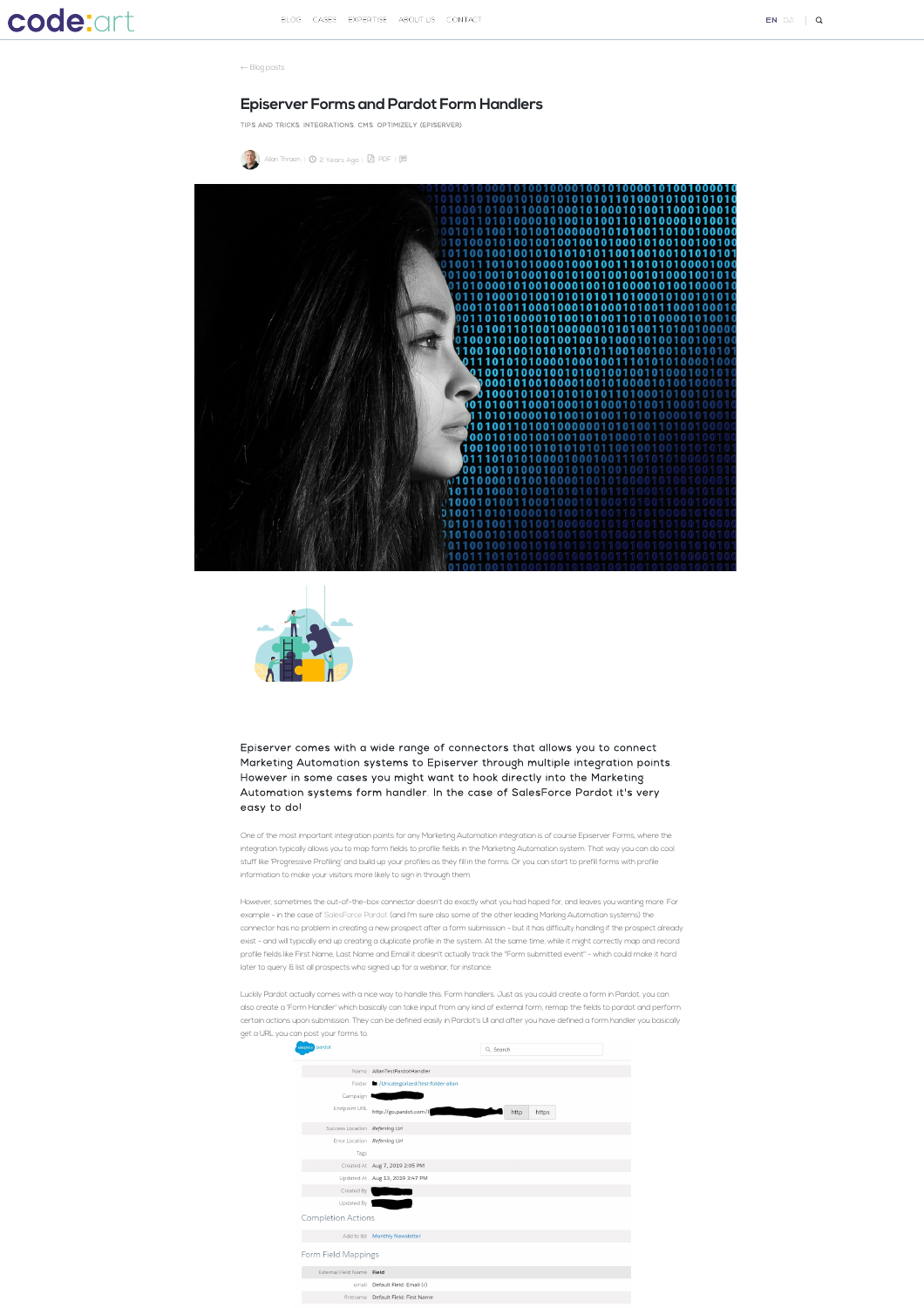## **code:art**

← [Blog posts](https://www.codeart.dk/blog)

## **Episerver Forms and Pardot Form Handlers**

[TIPS AND TRICKS,](https://www.codeart.dk/tags2/tips-and-tricks/) [INTEGRATIONS,](https://www.codeart.dk/tags/integrations/) [CMS,](https://www.codeart.dk/tags/cms/) [OPTIMIZELY \(EPISERVER\)](https://www.codeart.dk/tags/episerver/)

 $\left(\frac{3}{2}\right)$  [Allan Thraen](https://www.codeart.dk/team/allan-thraen/) |  $\odot$  2 Years Ago |  $\boxtimes$  [PDF](https://contentservices.io/screenshot/1.0/pdf/?url=https%3A%2F%2Fwww.codeart.dk%2Fblog%2F2019%2F8%2Fepiserver-forms-and-pardot-form-handlers%2F) |  $\boxplus$ 





Episerver comes with a wide range of connectors that allows you to connect Marketing Automation systems to Episerver through multiple integration points. However in some cases you might want to hook directly into the Marketing Automation systems form handler. In the case of SalesForce Pardot it's very easy to do!

One of the most important integration points for any Marketing Automation integration is of course Episerver Forms, where the integration typically allows you to map form fields to profile fields in the Marketing Automation system. That way you can do cool stuff like 'Progressive Profiling' and build up your profiles as they fill in the forms. Or you can start to prefill forms with profile information to make your visitors more likely to sign in through them.

er, sometimes the out-of-the-box connector doesn't do exactly what you had hoped for, and leaves you wanting more. For example - in the case of [SalesForce Pardot](https://www.salesforce.com/products/marketing-cloud/what-is-marketing-automation/) (and I'm sure also some of the other leading Marking Automation systems) the connector has no problem in creating a new prospect after a form submission - but it has difficulty handling if the prospect already exist - and will typically end up creating a duplicate profile in the system. At the same time, while it might correctly map and record profile fields like First Name, Last Name and Email it doesn't actually track the "Form submitted event" - which could make it hard later to query & list all prospects who signed up for a webinar, for instance.

Luckily Pardot actually comes with a nice way to handle this: Form handlers. Just as you could create a form in Pardot, you can also create a 'Form Handler' which basically can take input from any kind of external form, remap the fields to pardot and perform certain actions upon submission. They can be defined easily in Pardot's UI and after you have defined a form handler you basically get a URL you can post your forms to.

| ussere pardot                  |                                            |
|--------------------------------|--------------------------------------------|
|                                | Q Search                                   |
|                                | Name AllanTestPardotHandler                |
|                                | Folder M / Uncategorized/test-folder-allan |
| Campaign 1                     |                                            |
| Endpoint URL                   | http://go.pardot.com/l<br>http<br>https    |
| Success Location Referring Url |                                            |
| Error Location Referring Url   |                                            |
| Tags                           |                                            |
|                                | Created At Aug 7, 2019 2:05 PM             |
|                                | Updated At Aug 13, 2019 3:47 PM            |
| Created By                     |                                            |
| Updated By                     |                                            |
| Completion Actions             |                                            |
|                                | Add to list Monthly Newsletter             |
| Form Field Mappings            |                                            |
| External Field Name Field      |                                            |
| email                          | Default Field: Email (r)                   |
|                                | firstname Default Field: First Name        |
|                                |                                            |